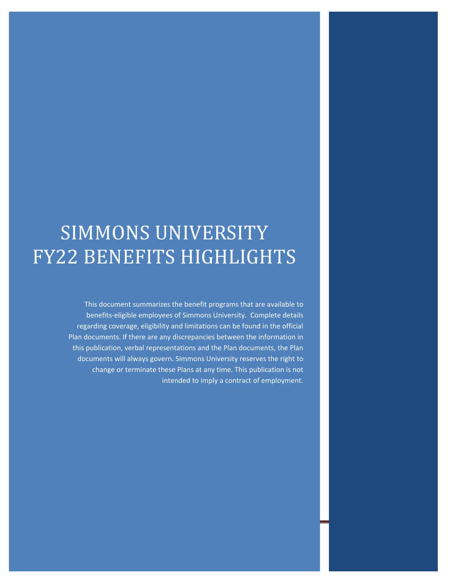# SIMMONS UNIVERSITY FY22 BENEFITS HIGHLIGHTS

This document summarizes the benefit programs that are available to benefits-eligible employees of Simmons University. Complete details regarding coverage, eligibility and limitations can be found in the official Plan documents. If there are any discrepancies between the information in this publication, verbal representations and the Plan documents, the Plan documents will always govern. Simmons University reserves the right to change or terminate these Plans at any time. This publication is not intended to imply a contract of employment.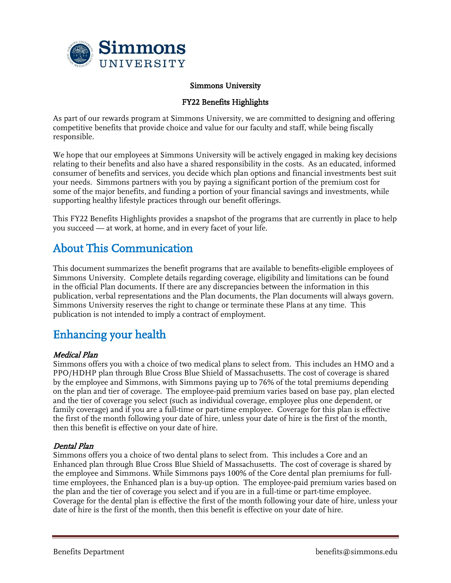

#### Simmons University

#### FY22 Benefits Highlights

As part of our rewards program at Simmons University, we are committed to designing and offering competitive benefits that provide choice and value for our faculty and staff, while being fiscally responsible.

We hope that our employees at Simmons University will be actively engaged in making key decisions relating to their benefits and also have a shared responsibility in the costs. As an educated, informed consumer of benefits and services, you decide which plan options and financial investments best suit your needs. Simmons partners with you by paying a significant portion of the premium cost for some of the major benefits, and funding a portion of your financial savings and investments, while supporting healthy lifestyle practices through our benefit offerings.

This FY22 Benefits Highlights provides a snapshot of the programs that are currently in place to help you succeed — at work, at home, and in every facet of your life.

# About This Communication

This document summarizes the benefit programs that are available to benefits-eligible employees of Simmons University. Complete details regarding coverage, eligibility and limitations can be found in the official Plan documents. If there are any discrepancies between the information in this publication, verbal representations and the Plan documents, the Plan documents will always govern. Simmons University reserves the right to change or terminate these Plans at any time. This publication is not intended to imply a contract of employment.

# Enhancing your health

#### Medical Plan

Simmons offers you with a choice of two medical plans to select from. This includes an HMO and a PPO/HDHP plan through Blue Cross Blue Shield of Massachusetts. The cost of coverage is shared by the employee and Simmons, with Simmons paying up to 76% of the total premiums depending on the plan and tier of coverage. The employee-paid premium varies based on base pay, plan elected and the tier of coverage you select (such as individual coverage, employee plus one dependent, or family coverage) and if you are a full-time or part-time employee. Coverage for this plan is effective the first of the month following your date of hire, unless your date of hire is the first of the month, then this benefit is effective on your date of hire.

#### Dental Plan

Simmons offers you a choice of two dental plans to select from. This includes a Core and an Enhanced plan through Blue Cross Blue Shield of Massachusetts. The cost of coverage is shared by the employee and Simmons. While Simmons pays 100% of the Core dental plan premiums for fulltime employees, the Enhanced plan is a buy-up option. The employee-paid premium varies based on the plan and the tier of coverage you select and if you are in a full-time or part-time employee. Coverage for the dental plan is effective the first of the month following your date of hire, unless your date of hire is the first of the month, then this benefit is effective on your date of hire.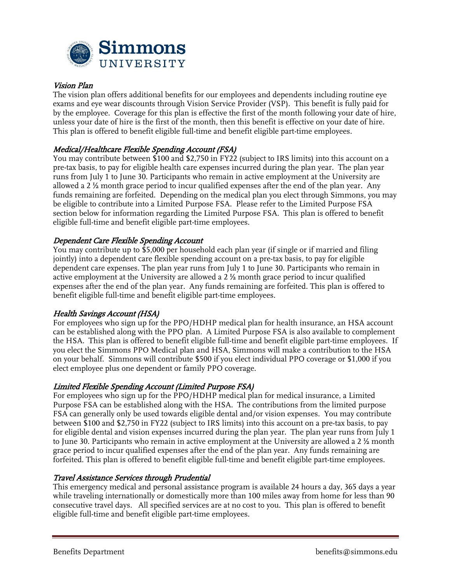

## Vision Plan

The vision plan offers additional benefits for our employees and dependents including routine eye exams and eye wear discounts through Vision Service Provider (VSP). This benefit is fully paid for by the employee. Coverage for this plan is effective the first of the month following your date of hire, unless your date of hire is the first of the month, then this benefit is effective on your date of hire. This plan is offered to benefit eligible full-time and benefit eligible part-time employees.

# Medical/Healthcare Flexible Spending Account (FSA)

You may contribute between \$100 and \$2,750 in FY22 (subject to IRS limits) into this account on a pre-tax basis, to pay for eligible health care expenses incurred during the plan year. The plan year runs from July 1 to June 30. Participants who remain in active employment at the University are allowed a 2 ½ month grace period to incur qualified expenses after the end of the plan year. Any funds remaining are forfeited. Depending on the medical plan you elect through Simmons, you may be eligible to contribute into a Limited Purpose FSA. Please refer to the Limited Purpose FSA section below for information regarding the Limited Purpose FSA. This plan is offered to benefit eligible full-time and benefit eligible part-time employees.

#### Dependent Care Flexible Spending Account

You may contribute up to \$5,000 per household each plan year (if single or if married and filing jointly) into a dependent care flexible spending account on a pre-tax basis, to pay for eligible dependent care expenses. The plan year runs from July 1 to June 30. Participants who remain in active employment at the University are allowed a 2 ½ month grace period to incur qualified expenses after the end of the plan year. Any funds remaining are forfeited. This plan is offered to benefit eligible full-time and benefit eligible part-time employees.

#### Health Savings Account (HSA)

For employees who sign up for the PPO/HDHP medical plan for health insurance, an HSA account can be established along with the PPO plan. A Limited Purpose FSA is also available to complement the HSA. This plan is offered to benefit eligible full-time and benefit eligible part-time employees. If you elect the Simmons PPO Medical plan and HSA, Simmons will make a contribution to the HSA on your behalf. Simmons will contribute \$500 if you elect individual PPO coverage or \$1,000 if you elect employee plus one dependent or family PPO coverage.

#### Limited Flexible Spending Account (Limited Purpose FSA)

For employees who sign up for the PPO/HDHP medical plan for medical insurance, a Limited Purpose FSA can be established along with the HSA. The contributions from the limited purpose FSA can generally only be used towards eligible dental and/or vision expenses. You may contribute between \$100 and \$2,750 in FY22 (subject to IRS limits) into this account on a pre-tax basis, to pay for eligible dental and vision expenses incurred during the plan year. The plan year runs from July 1 to June 30. Participants who remain in active employment at the University are allowed a 2 ½ month grace period to incur qualified expenses after the end of the plan year. Any funds remaining are forfeited. This plan is offered to benefit eligible full-time and benefit eligible part-time employees.

#### Travel Assistance Services through Prudential

This emergency medical and personal assistance program is available 24 hours a day, 365 days a year while traveling internationally or domestically more than 100 miles away from home for less than 90 consecutive travel days. All specified services are at no cost to you. This plan is offered to benefit eligible full-time and benefit eligible part-time employees.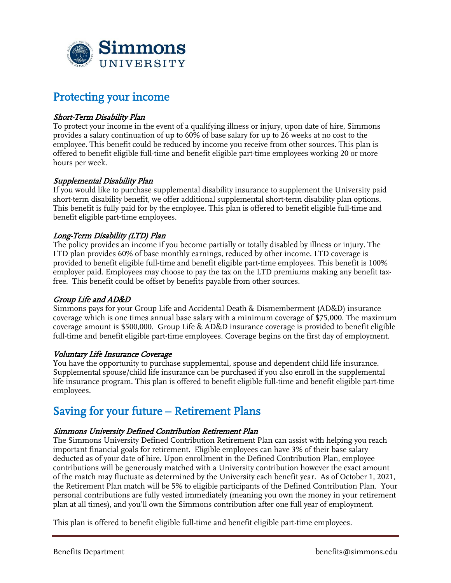

# Protecting your income

# Short-Term Disability Plan

To protect your income in the event of a qualifying illness or injury, upon date of hire, Simmons provides a salary continuation of up to 60% of base salary for up to 26 weeks at no cost to the employee. This benefit could be reduced by income you receive from other sources. This plan is offered to benefit eligible full-time and benefit eligible part-time employees working 20 or more hours per week.

## Supplemental Disability Plan

If you would like to purchase supplemental disability insurance to supplement the University paid short-term disability benefit, we offer additional supplemental short-term disability plan options. This benefit is fully paid for by the employee. This plan is offered to benefit eligible full-time and benefit eligible part-time employees.

## Long-Term Disability (LTD) Plan

The policy provides an income if you become partially or totally disabled by illness or injury. The LTD plan provides 60% of base monthly earnings, reduced by other income. LTD coverage is provided to benefit eligible full-time and benefit eligible part-time employees. This benefit is 100% employer paid. Employees may choose to pay the tax on the LTD premiums making any benefit taxfree. This benefit could be offset by benefits payable from other sources.

#### Group Life and AD&D

Simmons pays for your Group Life and Accidental Death & Dismemberment (AD&D) insurance coverage which is one times annual base salary with a minimum coverage of \$75,000. The maximum coverage amount is \$500,000. Group Life & AD&D insurance coverage is provided to benefit eligible full-time and benefit eligible part-time employees. Coverage begins on the first day of employment.

#### Voluntary Life Insurance Coverage

You have the opportunity to purchase supplemental, spouse and dependent child life insurance. Supplemental spouse/child life insurance can be purchased if you also enroll in the supplemental life insurance program. This plan is offered to benefit eligible full-time and benefit eligible part-time employees.

# Saving for your future – Retirement Plans

#### Simmons University Defined Contribution Retirement Plan

The Simmons University Defined Contribution Retirement Plan can assist with helping you reach important financial goals for retirement. Eligible employees can have 3% of their base salary deducted as of your date of hire. Upon enrollment in the Defined Contribution Plan, employee contributions will be generously matched with a University contribution however the exact amount of the match may fluctuate as determined by the University each benefit year. As of October 1, 2021, the Retirement Plan match will be 5% to eligible participants of the Defined Contribution Plan. Your personal contributions are fully vested immediately (meaning you own the money in your retirement plan at all times), and you'll own the Simmons contribution after one full year of employment.

This plan is offered to benefit eligible full-time and benefit eligible part-time employees.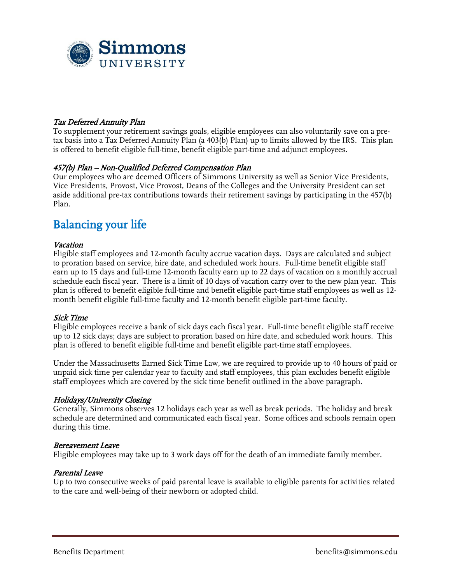

# Tax Deferred Annuity Plan

To supplement your retirement savings goals, eligible employees can also voluntarily save on a pretax basis into a Tax Deferred Annuity Plan (a 403(b) Plan) up to limits allowed by the IRS. This plan is offered to benefit eligible full-time, benefit eligible part-time and adjunct employees.

#### 457(b) Plan – Non-Qualified Deferred Compensation Plan

Our employees who are deemed Officers of Simmons University as well as Senior Vice Presidents, Vice Presidents, Provost, Vice Provost, Deans of the Colleges and the University President can set aside additional pre-tax contributions towards their retirement savings by participating in the 457(b) Plan.

# Balancing your life

#### **Vacation**

Eligible staff employees and 12-month faculty accrue vacation days. Days are calculated and subject to proration based on service, hire date, and scheduled work hours. Full-time benefit eligible staff earn up to 15 days and full-time 12-month faculty earn up to 22 days of vacation on a monthly accrual schedule each fiscal year. There is a limit of 10 days of vacation carry over to the new plan year. This plan is offered to benefit eligible full-time and benefit eligible part-time staff employees as well as 12 month benefit eligible full-time faculty and 12-month benefit eligible part-time faculty.

#### Sick Time

Eligible employees receive a bank of sick days each fiscal year. Full-time benefit eligible staff receive up to 12 sick days; days are subject to proration based on hire date, and scheduled work hours. This plan is offered to benefit eligible full-time and benefit eligible part-time staff employees.

Under the Massachusetts Earned Sick Time Law, we are required to provide up to 40 hours of paid or unpaid sick time per calendar year to faculty and staff employees, this plan excludes benefit eligible staff employees which are covered by the sick time benefit outlined in the above paragraph.

#### Holidays/University Closing

Generally, Simmons observes 12 holidays each year as well as break periods. The holiday and break schedule are determined and communicated each fiscal year. Some offices and schools remain open during this time.

#### Bereavement Leave

Eligible employees may take up to 3 work days off for the death of an immediate family member.

#### Parental Leave

Up to two consecutive weeks of paid parental leave is available to eligible parents for activities related to the care and well-being of their newborn or adopted child.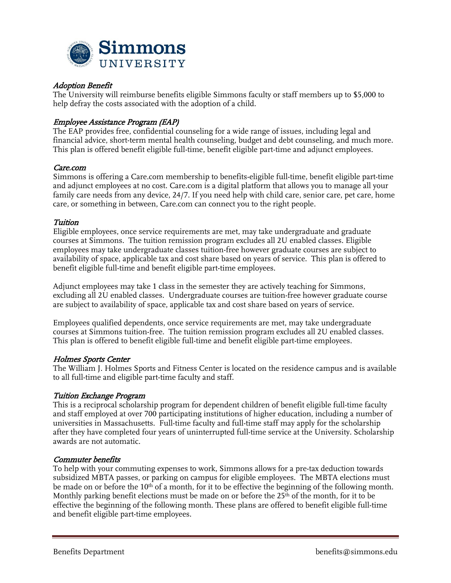

## Adoption Benefit

The University will reimburse benefits eligible Simmons faculty or staff members up to \$5,000 to help defray the costs associated with the adoption of a child.

### Employee Assistance Program (EAP)

The EAP provides free, confidential counseling for a wide range of issues, including legal and financial advice, short-term mental health counseling, budget and debt counseling, and much more. This plan is offered benefit eligible full-time, benefit eligible part-time and adjunct employees.

#### Care.com

Simmons is offering a Care.com membership to benefits-eligible full-time, benefit eligible part-time and adjunct employees at no cost. Care.com is a digital platform that allows you to manage all your family care needs from any device, 24/7. If you need help with child care, senior care, pet care, home care, or something in between, Care.com can connect you to the right people.

#### Tuition

Eligible employees, once service requirements are met, may take undergraduate and graduate courses at Simmons. The tuition remission program excludes all 2U enabled classes. Eligible employees may take undergraduate classes tuition-free however graduate courses are subject to availability of space, applicable tax and cost share based on years of service. This plan is offered to benefit eligible full-time and benefit eligible part-time employees.

Adjunct employees may take 1 class in the semester they are actively teaching for Simmons, excluding all 2U enabled classes. Undergraduate courses are tuition-free however graduate course are subject to availability of space, applicable tax and cost share based on years of service.

Employees qualified dependents, once service requirements are met, may take undergraduate courses at Simmons tuition-free. The tuition remission program excludes all 2U enabled classes. This plan is offered to benefit eligible full-time and benefit eligible part-time employees.

#### Holmes Sports Center

The William J. Holmes Sports and Fitness Center is located on the residence campus and is available to all full-time and eligible part-time faculty and staff.

#### Tuition Exchange Program

This is a reciprocal scholarship program for dependent children of benefit eligible full-time faculty and staff employed at over 700 participating institutions of higher education, including a number of universities in Massachusetts. Full-time faculty and full-time staff may apply for the scholarship after they have completed four years of uninterrupted full-time service at the University. Scholarship awards are not automatic.

#### Commuter benefits

To help with your commuting expenses to work, Simmons allows for a pre-tax deduction towards subsidized MBTA passes, or parking on campus for eligible employees. The MBTA elections must be made on or before the  $10<sup>th</sup>$  of a month, for it to be effective the beginning of the following month. Monthly parking benefit elections must be made on or before the  $25<sup>th</sup>$  of the month, for it to be effective the beginning of the following month. These plans are offered to benefit eligible full-time and benefit eligible part-time employees.